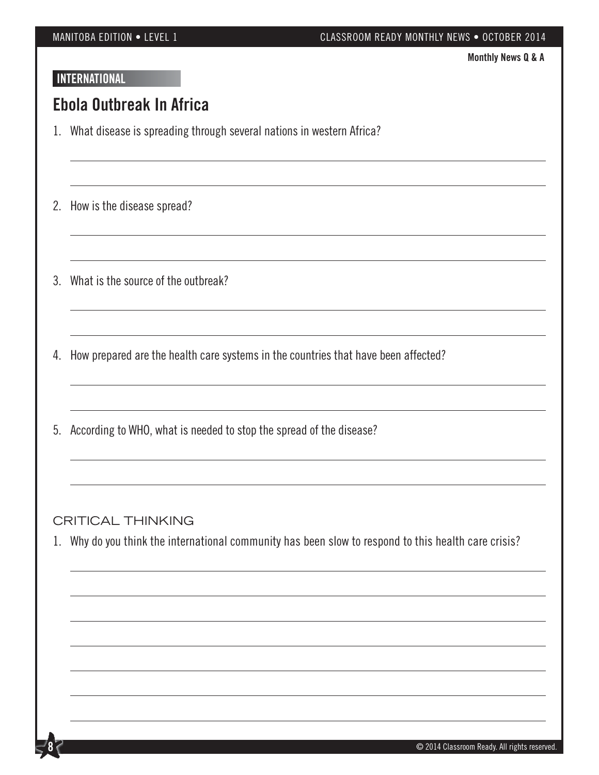#### MANITOBA EDITION • LEVEL 1 CLASSROOM READY MONTHLY NEWS • OCTOBER 2014

**Monthly News Q & A**

### **INTERNATIONAL**

## **Ebola Outbreak In Africa**

- 1. What disease is spreading through several nations in western Africa?
- 2. How is the disease spread?
- 3. What is the source of the outbreak?
- 4. How prepared are the health care systems in the countries that have been affected?
- 5. According to WHO, what is needed to stop the spread of the disease?

#### CRITICAL THINKING

**8**

1. Why do you think the international community has been slow to respond to this health care crisis?